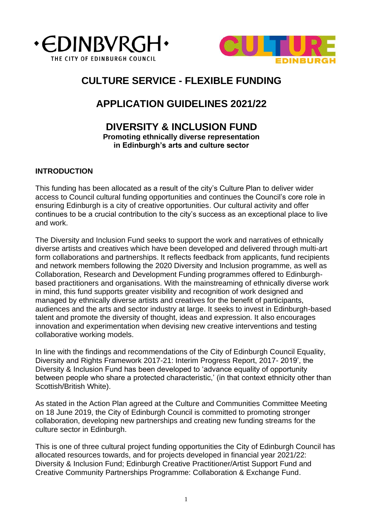



# **CULTURE SERVICE - FLEXIBLE FUNDING**

# **APPLICATION GUIDELINES 2021/22**

# **DIVERSITY & INCLUSION FUND Promoting ethnically diverse representation in Edinburgh's arts and culture sector**

# **INTRODUCTION**

This funding has been allocated as a result of the city's Culture Plan to deliver wider access to Council cultural funding opportunities and continues the Council's core role in ensuring Edinburgh is a city of creative opportunities. Our cultural activity and offer continues to be a crucial contribution to the city's success as an exceptional place to live and work.

The Diversity and Inclusion Fund seeks to support the work and narratives of ethnically diverse artists and creatives which have been developed and delivered through multi-art form collaborations and partnerships. It reflects feedback from applicants, fund recipients and network members following the 2020 Diversity and Inclusion programme, as well as Collaboration, Research and Development Funding programmes offered to Edinburghbased practitioners and organisations. With the mainstreaming of ethnically diverse work in mind, this fund supports greater visibility and recognition of work designed and managed by ethnically diverse artists and creatives for the benefit of participants, audiences and the arts and sector industry at large. It seeks to invest in Edinburgh-based talent and promote the diversity of thought, ideas and expression. It also encourages innovation and experimentation when devising new creative interventions and testing collaborative working models.

In line with the findings and recommendations of the City of Edinburgh Council Equality, Diversity and Rights Framework 2017-21: Interim Progress Report, 2017- 2019', the Diversity & Inclusion Fund has been developed to 'advance equality of opportunity between people who share a protected characteristic,' (in that context ethnicity other than Scottish/British White).

As stated in the Action Plan agreed at the Culture and Communities Committee Meeting on 18 June 2019, the City of Edinburgh Council is committed to promoting stronger collaboration, developing new partnerships and creating new funding streams for the culture sector in Edinburgh.

This is one of three cultural project funding opportunities the City of Edinburgh Council has allocated resources towards, and for projects developed in financial year 2021/22: Diversity & Inclusion Fund; Edinburgh Creative Practitioner/Artist Support Fund and Creative Community Partnerships Programme: Collaboration & Exchange Fund.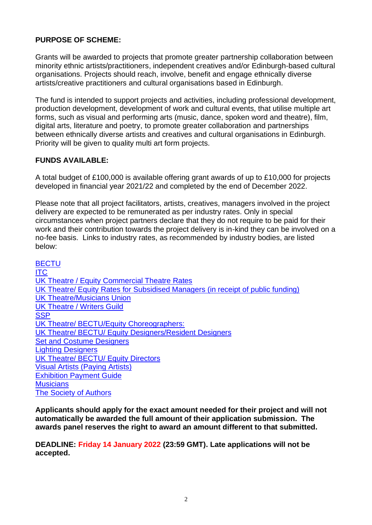# **PURPOSE OF SCHEME:**

Grants will be awarded to projects that promote greater partnership collaboration between minority ethnic artists/practitioners, independent creatives and/or Edinburgh-based cultural organisations. Projects should reach, involve, benefit and engage ethnically diverse artists/creative practitioners and cultural organisations based in Edinburgh.

The fund is intended to support projects and activities, including professional development, production development, development of work and cultural events, that utilise multiple art forms, such as visual and performing arts (music, dance, spoken word and theatre), film, digital arts, literature and poetry, to promote greater collaboration and partnerships between ethnically diverse artists and creatives and cultural organisations in Edinburgh. Priority will be given to quality multi art form projects.

# **FUNDS AVAILABLE:**

A total budget of £100,000 is available offering grant awards of up to £10,000 for projects developed in financial year 2021/22 and completed by the end of December 2022.

Please note that all project facilitators, artists, creatives, managers involved in the project delivery are expected to be remunerated as per industry rates. Only in special circumstances when project partners declare that they do not require to be paid for their work and their contribution towards the project delivery is in-kind they can be involved on a no-fee basis. Links to industry rates, as recommended by industry bodies, are listed below:

**[BECTU](https://bectu.org.uk/get-involved/ratecards/)** [ITC](https://www.itc-arts.org/rates-of-pay/) [UK Theatre / Equity Commercial Theatre Rates](file://///c-cap-nas-02/home$/1666140/Downloads/UK%20Theatre%20Equity%20rates%20-%20Commercial%20Theatre%202019-2022%20(1).pdf) [UK Theatre/ Equity Rates for Subsidised Managers \(in receipt of public funding\)](file://///c-cap-nas-02/home$/1666140/Downloads/UK%20Theatre%20Equity%20rates%20-%20Subsidised%202019%20to%202022%20(1).pdf) [UK Theatre/Musicians Union](file://///c-cap-nas-02/home$/1666140/Downloads/UK%20MU%20Rates%20April%202018%20to%20April%202021%20(2).pdf) [UK Theatre / Writers Guild](file://///c-cap-nas-02/home$/1666140/Downloads/UK%20Theatre%20Writers%20Guild%20Rates%20-%202019%20(1).pdf) **[SSP](http://www.scottishsocietyofplaywrights.co.uk/commission-rates.html)** [UK Theatre/ BECTU/Equity Choreographers:](file://///c-cap-nas-02/home$/1666140/Downloads/UK%20Theatre%20Equity%20Choreographer%20rates%202019%20-%202021%20(1).pdf) [UK Theatre/ BECTU/ Equity Designers/Resident Designers](file://///c-cap-nas-02/home$/1666140/Downloads/UK%20Theatre%20Equity%20BECTU%20Designers%20rates%20Resident%20Designers%202019-2021.pdf) [Set and Costume Designers](file://///c-cap-nas-02/home$/1666140/Downloads/UK%20Theatre%20Equity%20BECTU%20Designers%20rates%20Set%20and%20Costumes%202019-2021.pdf) [Lighting Designers](file://///c-cap-nas-02/home$/1666140/Downloads/UK%20Theatre%20Equity%20BECTU%20Designers%20rates%20Lighting%20Designers%202019-2021.pdf) [UK Theatre/ BECTU/ Equity Directors](file://///c-cap-nas-02/home$/1666140/Downloads/UK%20Theatre%20Equity%20Directors%20rates%202018%20-%202022.pdf) [Visual Artists \(Paying Artists\)](http://www.payingartists.org.uk/2018/07/paying-artists-activity-update/) [Exhibition Payment Guide](http://www.payingartists.org.uk/wp-content/uploads/2017/06/Paying-Artists-Exhibition-Payment-Guide.pdf) **[Musicians](https://musiciansunion.org.uk/rates)** [The Society of Authors](https://societyofauthors.org/Advice/Rates-Fees)

**Applicants should apply for the exact amount needed for their project and will not automatically be awarded the full amount of their application submission. The awards panel reserves the right to award an amount different to that submitted.**

**DEADLINE: Friday 14 January 2022 (23:59 GMT). Late applications will not be accepted.**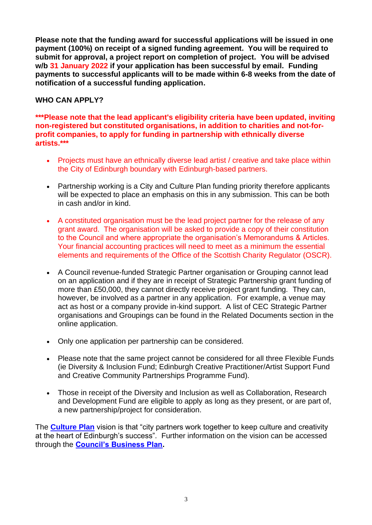**Please note that the funding award for successful applications will be issued in one payment (100%) on receipt of a signed funding agreement. You will be required to submit for approval, a project report on completion of project. You will be advised w/b 31 January 2022 if your application has been successful by email. Funding payments to successful applicants will to be made within 6-8 weeks from the date of notification of a successful funding application.**

# **WHO CAN APPLY?**

**\*\*\*Please note that the lead applicant's eligibility criteria have been updated, inviting non-registered but constituted organisations, in addition to charities and not-forprofit companies, to apply for funding in partnership with ethnically diverse artists.\*\*\***

- Projects must have an ethnically diverse lead artist / creative and take place within the City of Edinburgh boundary with Edinburgh-based partners.
- Partnership working is a City and Culture Plan funding priority therefore applicants will be expected to place an emphasis on this in any submission. This can be both in cash and/or in kind.
- A constituted organisation must be the lead project partner for the release of any grant award. The organisation will be asked to provide a copy of their constitution to the Council and where appropriate the organisation's Memorandums & Articles. Your financial accounting practices will need to meet as a minimum the essential elements and requirements of the Office of the Scottish Charity Regulator (OSCR).
- A Council revenue-funded Strategic Partner organisation or Grouping cannot lead on an application and if they are in receipt of Strategic Partnership grant funding of more than £50,000, they cannot directly receive project grant funding. They can, however, be involved as a partner in any application. For example, a venue may act as host or a company provide in-kind support. A list of CEC Strategic Partner organisations and Groupings can be found in the Related Documents section in the online application.
- Only one application per partnership can be considered.
- Please note that the same project cannot be considered for all three Flexible Funds (ie Diversity & Inclusion Fund; Edinburgh Creative Practitioner/Artist Support Fund and Creative Community Partnerships Programme Fund).
- Those in receipt of the Diversity and Inclusion as well as Collaboration, Research and Development Fund are eligible to apply as long as they present, or are part of, a new partnership/project for consideration.

The **[Culture Plan](https://democracy.edinburgh.gov.uk/CeListDocuments.aspx?CommitteeId=272&MeetingId=1335&DF=30%2f11%2f2015&Ver=2)** vision is that "city partners work together to keep culture and creativity at the heart of Edinburgh's success". Further information on the vision can be accessed through the **[Council's Business Plan.](https://www.edinburgh.gov.uk/council-planning-framework/council-business-plan-2017-2022)**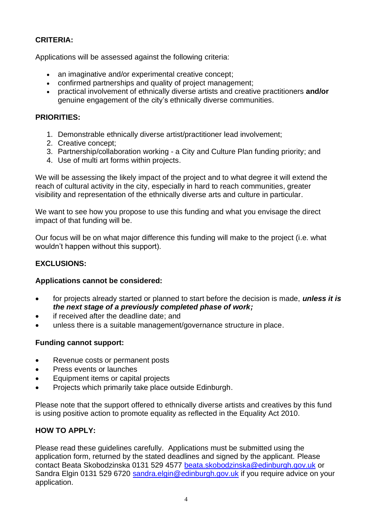# **CRITERIA:**

Applications will be assessed against the following criteria:

- an imaginative and/or experimental creative concept:
- confirmed partnerships and quality of project management;
- practical involvement of ethnically diverse artists and creative practitioners **and/or** genuine engagement of the city's ethnically diverse communities.

# **PRIORITIES:**

- 1. Demonstrable ethnically diverse artist/practitioner lead involvement;
- 2. Creative concept;
- 3. Partnership/collaboration working a City and Culture Plan funding priority; and
- 4. Use of multi art forms within projects.

We will be assessing the likely impact of the project and to what degree it will extend the reach of cultural activity in the city, especially in hard to reach communities, greater visibility and representation of the ethnically diverse arts and culture in particular.

We want to see how you propose to use this funding and what you envisage the direct impact of that funding will be.

Our focus will be on what major difference this funding will make to the project (i.e. what wouldn't happen without this support).

# **EXCLUSIONS:**

# **Applications cannot be considered:**

- for projects already started or planned to start before the decision is made, *unless it is the next stage of a previously completed phase of work;*
- if received after the deadline date; and
- unless there is a suitable management/governance structure in place.

# **Funding cannot support:**

- Revenue costs or permanent posts
- Press events or launches
- Equipment items or capital projects
- Projects which primarily take place outside Edinburgh.

Please note that the support offered to ethnically diverse artists and creatives by this fund is using positive action to promote equality as reflected in the Equality Act 2010.

# **HOW TO APPLY:**

Please read these guidelines carefully. Applications must be submitted using the application form, returned by the stated deadlines and signed by the applicant. Please contact Beata Skobodzinska 0131 529 4577 [beata.skobodzinska@edinburgh.gov.uk](mailto:beata.skobodzinska@edinburgh.gov.uk) or Sandra Elgin 0131 529 6720 [sandra.elgin@edinburgh.gov.uk](mailto:sandra.elgin@edinburgh.gov.uk) if you require advice on your application.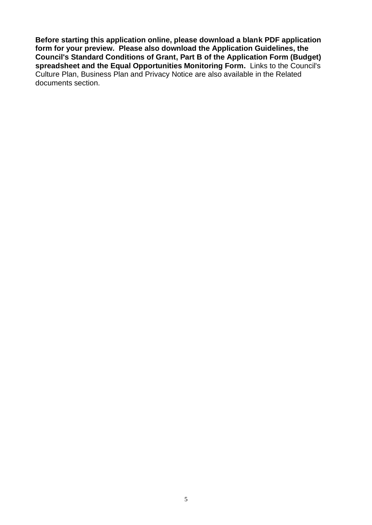**Before starting this application online, please download a blank PDF application form for your preview. Please also download the Application Guidelines, the Council's Standard Conditions of Grant, Part B of the Application Form (Budget) spreadsheet and the Equal Opportunities Monitoring Form.** Links to the Council's Culture Plan, Business Plan and Privacy Notice are also available in the Related documents section.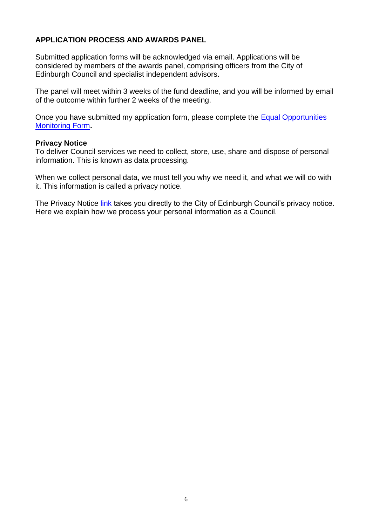### **APPLICATION PROCESS AND AWARDS PANEL**

Submitted application forms will be acknowledged via email. Applications will be considered by members of the awards panel, comprising officers from the City of Edinburgh Council and specialist independent advisors.

The panel will meet within 3 weeks of the fund deadline, and you will be informed by email of the outcome within further 2 weeks of the meeting.

Once you have submitted my application form, please complete the [Equal Opportunities](https://ukc-word-edit.officeapps.live.com/sfc/05f7c9c9/)  [Monitoring Form](https://ukc-word-edit.officeapps.live.com/sfc/05f7c9c9/)**.**

#### **Privacy Notice**

To deliver Council services we need to collect, store, use, share and dispose of personal information. This is known as data processing.

When we collect personal data, we must tell you why we need it, and what we will do with it. This information is called a privacy notice.

The Privacy Notice [link](https://www.edinburgh.gov.uk/managing-information/privacy/1) takes you directly to the City of Edinburgh Council's privacy notice. Here we explain how we process your personal information as a Council.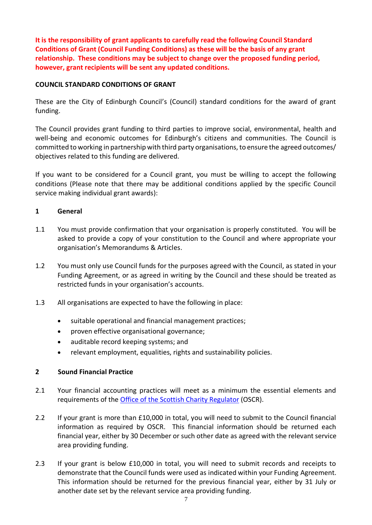**It is the responsibility of grant applicants to carefully read the following Council Standard Conditions of Grant (Council Funding Conditions) as these will be the basis of any grant relationship. These conditions may be subject to change over the proposed funding period, however, grant recipients will be sent any updated conditions.**

#### **COUNCIL STANDARD CONDITIONS OF GRANT**

These are the City of Edinburgh Council's (Council) standard conditions for the award of grant funding.

The Council provides grant funding to third parties to improve social, environmental, health and well-being and economic outcomes for Edinburgh's citizens and communities. The Council is committed to working in partnership with third party organisations, to ensure the agreed outcomes/ objectives related to this funding are delivered.

If you want to be considered for a Council grant, you must be willing to accept the following conditions (Please note that there may be additional conditions applied by the specific Council service making individual grant awards):

#### **1 General**

- 1.1 You must provide confirmation that your organisation is properly constituted. You will be asked to provide a copy of your constitution to the Council and where appropriate your organisation's Memorandums & Articles.
- 1.2 You must only use Council funds for the purposes agreed with the Council, as stated in your Funding Agreement, or as agreed in writing by the Council and these should be treated as restricted funds in your organisation's accounts.
- 1.3 All organisations are expected to have the following in place:
	- suitable operational and financial management practices;
	- proven effective organisational governance;
	- auditable record keeping systems; and
	- relevant employment, equalities, rights and sustainability policies.

#### **2 Sound Financial Practice**

- 2.1 Your financial accounting practices will meet as a minimum the essential elements and requirements of the [Office of the Scottish Charity Regulator](http://www.oscr.org.uk/media/2064/2015-10-28-amended-scottish-charity-accounts-guide.pdf) (OSCR).
- 2.2 If your grant is more than £10,000 in total, you will need to submit to the Council financial information as required by OSCR. This financial information should be returned each financial year, either by 30 December or such other date as agreed with the relevant service area providing funding.
- 2.3 If your grant is below £10,000 in total, you will need to submit records and receipts to demonstrate that the Council funds were used as indicated within your Funding Agreement. This information should be returned for the previous financial year, either by 31 July or another date set by the relevant service area providing funding.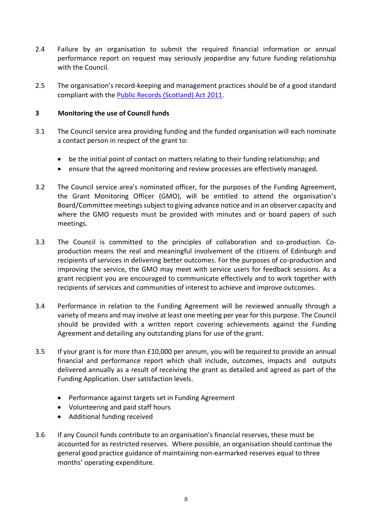- 2.4 Failure by an organisation to submit the required financial information or annual performance report on request may seriously jeopardise any future funding relationship with the Council.
- 2.5 The organisation's record-keeping and management practices should be of a good standard compliant with the [Public Records \(Scotland\) Act 2011.](http://www.nrscotland.gov.uk/files/record-keeping/public-records-act/prsa-guidance-document.pdf)

#### **3 Monitoring the use of Council funds**

- 3.1 The Council service area providing funding and the funded organisation will each nominate a contact person in respect of the grant to:
	- be the initial point of contact on matters relating to their funding relationship; and
	- ensure that the agreed monitoring and review processes are effectively managed.
- 3.2 The Council service area's nominated officer, for the purposes of the Funding Agreement, the Grant Monitoring Officer (GMO), will be entitled to attend the organisation's Board/Committee meetings subject to giving advance notice and in an observer capacity and where the GMO requests must be provided with minutes and or board papers of such meetings.
- 3.3 The Council is committed to the principles of collaboration and co-production. Coproduction means the real and meaningful involvement of the citizens of Edinburgh and recipients of services in delivering better outcomes. For the purposes of co-production and improving the service, the GMO may meet with service users for feedback sessions. As a grant recipient you are encouraged to communicate effectively and to work together with recipients of services and communities of interest to achieve and improve outcomes.
- 3.4 Performance in relation to the Funding Agreement will be reviewed annually through a variety of means and may involve at least one meeting per year for this purpose. The Council should be provided with a written report covering achievements against the Funding Agreement and detailing any outstanding plans for use of the grant.
- 3.5 If your grant is for more than £10,000 per annum, you will be required to provide an annual financial and performance report which shall include, outcomes, impacts and outputs delivered annually as a result of receiving the grant as detailed and agreed as part of the Funding Application. User satisfaction levels.
	- Performance against targets set in Funding Agreement
	- Volunteering and paid staff hours
	- Additional funding received
- 3.6 If any Council funds contribute to an organisation's financial reserves, these must be accounted for as restricted reserves. Where possible, an organisation should continue the general good practice guidance of maintaining non-earmarked reserves equal to three months' operating expenditure.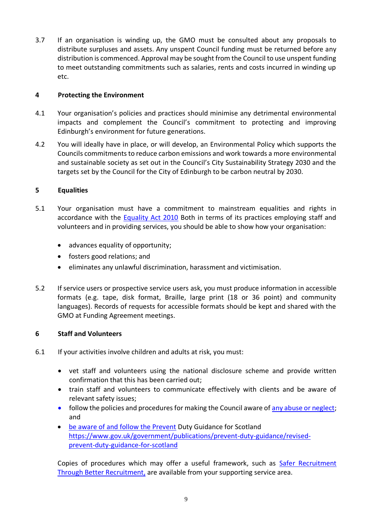3.7 If an organisation is winding up, the GMO must be consulted about any proposals to distribute surpluses and assets. Any unspent Council funding must be returned before any distribution is commenced. Approval may be sought from the Council to use unspent funding to meet outstanding commitments such as salaries, rents and costs incurred in winding up etc.

#### **4 Protecting the Environment**

- 4.1 Your organisation's policies and practices should minimise any detrimental environmental impacts and complement the Council's commitment to protecting and improving Edinburgh's environment for future generations.
- 4.2 You will ideally have in place, or will develop, an Environmental Policy which supports the Councils commitments to reduce carbon emissions and work towards a more environmental and sustainable society as set out in the Council's City Sustainability Strategy 2030 and the targets set by the Council for the City of Edinburgh to be carbon neutral by 2030.

#### **5 Equalities**

- 5.1 Your organisation must have a commitment to mainstream equalities and rights in accordance with the [Equality Act 2010](https://www.gov.uk/guidance/equality-act-2010-guidance) Both in terms of its practices employing staff and volunteers and in providing services, you should be able to show how your organisation:
	- advances equality of opportunity;
	- fosters good relations; and
	- eliminates any unlawful discrimination, harassment and victimisation.
- 5.2 If service users or prospective service users ask, you must produce information in accessible formats (e.g. tape, disk format, Braille, large print (18 or 36 point) and community languages). Records of requests for accessible formats should be kept and shared with the GMO at Funding Agreement meetings.

#### **6 Staff and Volunteers**

- 6.1 If your activities involve children and adults at risk, you must:
	- vet staff and volunteers using the national disclosure scheme and provide written confirmation that this has been carried out;
	- train staff and volunteers to communicate effectively with clients and be aware of relevant safety issues;
	- follow the policies and procedures for making the Council aware of [any abuse or neglect;](http://www.edinburgh.gov.uk/downloads/file/1405/our_joint_working_guidelines_for_adult_protection) and
	- be aware of and follow the Prevent Duty Guidance for Scotland [https://www.gov.uk/government/publications/prevent-duty-guidance/revised](https://www.gov.uk/government/publications/prevent-duty-guidance/revised-prevent-duty-guidance-for-scotland)[prevent-duty-guidance-for-scotland](https://www.gov.uk/government/publications/prevent-duty-guidance/revised-prevent-duty-guidance-for-scotland)

Copies of procedures which may offer a useful framework, such as [Safer Recruitment](http://hub.careinspectorate.com/knowledge/safer-recruitment/)  [Through Better Recruitment,](http://hub.careinspectorate.com/knowledge/safer-recruitment/) are available from your supporting service area.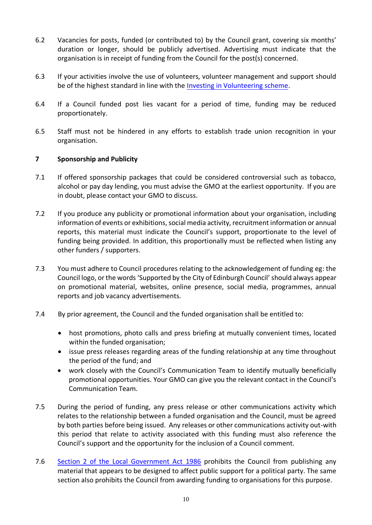- 6.2 Vacancies for posts, funded (or contributed to) by the Council grant, covering six months' duration or longer, should be publicly advertised. Advertising must indicate that the organisation is in receipt of funding from the Council for the post(s) concerned.
- 6.3 If your activities involve the use of volunteers, volunteer management and support should be of the highest standard in line with the [Investing in Volunteering scheme.](https://iiv.investinginvolunteers.org.uk/)
- 6.4 If a Council funded post lies vacant for a period of time, funding may be reduced proportionately.
- 6.5 Staff must not be hindered in any efforts to establish trade union recognition in your organisation.

#### **7 Sponsorship and Publicity**

- 7.1 If offered sponsorship packages that could be considered controversial such as tobacco, alcohol or pay day lending, you must advise the GMO at the earliest opportunity. If you are in doubt, please contact your GMO to discuss.
- 7.2 If you produce any publicity or promotional information about your organisation, including information of events or exhibitions, social media activity, recruitment information or annual reports, this material must indicate the Council's support, proportionate to the level of funding being provided. In addition, this proportionally must be reflected when listing any other funders / supporters.
- 7.3 You must adhere to Council procedures relating to the acknowledgement of funding eg: the Council logo, or the words 'Supported by the City of Edinburgh Council' should always appear on promotional material, websites, online presence, social media, programmes, annual reports and job vacancy advertisements.
- 7.4 By prior agreement, the Council and the funded organisation shall be entitled to:
	- host promotions, photo calls and press briefing at mutually convenient times, located within the funded organisation;
	- issue press releases regarding areas of the funding relationship at any time throughout the period of the fund; and
	- work closely with the Council's Communication Team to identify mutually beneficially promotional opportunities. Your GMO can give you the relevant contact in the Council's Communication Team.
- 7.5 During the period of funding, any press release or other communications activity which relates to the relationship between a funded organisation and the Council, must be agreed by both parties before being issued. Any releases or other communications activity out-with this period that relate to activity associated with this funding must also reference the Council's support and the opportunity for the inclusion of a Council comment.
- 7.6 [Section 2 of the Local Government Act 1986](https://www.legislation.gov.uk/ukpga/1986/10/section/2) prohibits the Council from publishing any material that appears to be designed to affect public support for a political party. The same section also prohibits the Council from awarding funding to organisations for this purpose.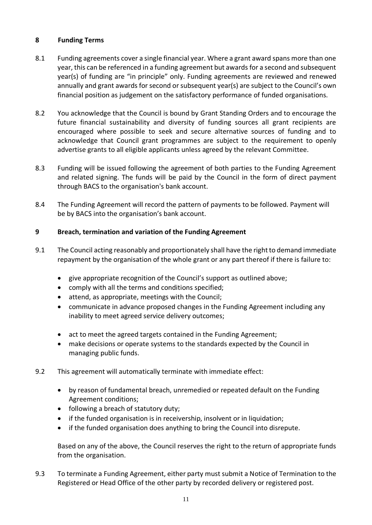#### **8 Funding Terms**

- 8.1 Funding agreements cover a single financial year. Where a grant award spans more than one year, this can be referenced in a funding agreement but awards for a second and subsequent year(s) of funding are "in principle" only. Funding agreements are reviewed and renewed annually and grant awards for second or subsequent year(s) are subject to the Council's own financial position as judgement on the satisfactory performance of funded organisations.
- 8.2 You acknowledge that the Council is bound by Grant Standing Orders and to encourage the future financial sustainability and diversity of funding sources all grant recipients are encouraged where possible to seek and secure alternative sources of funding and to acknowledge that Council grant programmes are subject to the requirement to openly advertise grants to all eligible applicants unless agreed by the relevant Committee.
- 8.3 Funding will be issued following the agreement of both parties to the Funding Agreement and related signing. The funds will be paid by the Council in the form of direct payment through BACS to the organisation's bank account.
- 8.4 The Funding Agreement will record the pattern of payments to be followed. Payment will be by BACS into the organisation's bank account.

### **9 Breach, termination and variation of the Funding Agreement**

- 9.1 The Council acting reasonably and proportionately shall have the right to demand immediate repayment by the organisation of the whole grant or any part thereof if there is failure to:
	- give appropriate recognition of the Council's support as outlined above;
	- comply with all the terms and conditions specified;
	- attend, as appropriate, meetings with the Council;
	- communicate in advance proposed changes in the Funding Agreement including any inability to meet agreed service delivery outcomes;
	- act to meet the agreed targets contained in the Funding Agreement;
	- make decisions or operate systems to the standards expected by the Council in managing public funds.
- 9.2 This agreement will automatically terminate with immediate effect:
	- by reason of fundamental breach, unremedied or repeated default on the Funding Agreement conditions;
	- following a breach of statutory duty;
	- if the funded organisation is in receivership, insolvent or in liquidation;
	- if the funded organisation does anything to bring the Council into disrepute.

Based on any of the above, the Council reserves the right to the return of appropriate funds from the organisation.

9.3 To terminate a Funding Agreement, either party must submit a Notice of Termination to the Registered or Head Office of the other party by recorded delivery or registered post.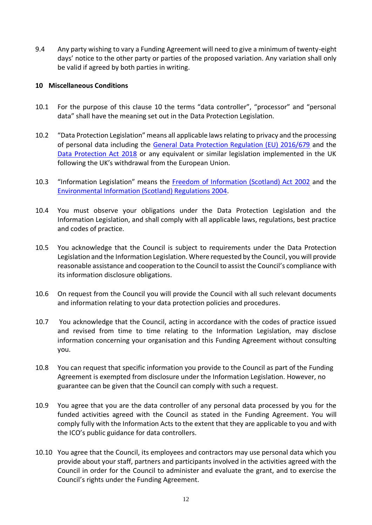9.4 Any party wishing to vary a Funding Agreement will need to give a minimum of twenty-eight days' notice to the other party or parties of the proposed variation. Any variation shall only be valid if agreed by both parties in writing.

#### **10 Miscellaneous Conditions**

- 10.1 For the purpose of this clause 10 the terms "data controller", "processor" and "personal data" shall have the meaning set out in the Data Protection Legislation.
- 10.2 "Data Protection Legislation" means all applicable laws relating to privacy and the processing of personal data including the [General Data Protection Regulation \(EU\) 2016/679](http://eur-lex.europa.eu/legal-content/EN/TXT/?uri=uriserv:OJ.L_.2016.119.01.0001.01.ENG) and the [Data Protection Act 2018](http://eur-lex.europa.eu/legal-content/EN/TXT/?uri=uriserv:OJ.L_.2016.119.01.0001.01.ENG) or any equivalent or similar legislation implemented in the UK following the UK's withdrawal from the European Union.
- 10.3 "Information Legislation" means the [Freedom of Information \(Scotland\) Act 2002](http://www.legislation.gov.uk/asp/2002/13/contents) and the [Environmental Information \(Scotland\) Regulations 2004.](https://www.legislation.gov.uk/ssi/2004/520/contents/made)
- 10.4 You must observe your obligations under the Data Protection Legislation and the Information Legislation, and shall comply with all applicable laws, regulations, best practice and codes of practice.
- 10.5 You acknowledge that the Council is subject to requirements under the Data Protection Legislation and the Information Legislation. Where requested by the Council, you will provide reasonable assistance and cooperation to the Council to assist the Council's compliance with its information disclosure obligations.
- 10.6 On request from the Council you will provide the Council with all such relevant documents and information relating to your data protection policies and procedures.
- 10.7 You acknowledge that the Council, acting in accordance with the codes of practice issued and revised from time to time relating to the Information Legislation, may disclose information concerning your organisation and this Funding Agreement without consulting you.
- 10.8 You can request that specific information you provide to the Council as part of the Funding Agreement is exempted from disclosure under the Information Legislation. However, no guarantee can be given that the Council can comply with such a request.
- 10.9 You agree that you are the data controller of any personal data processed by you for the funded activities agreed with the Council as stated in the Funding Agreement. You will comply fully with the Information Acts to the extent that they are applicable to you and with the ICO's public guidance for data controllers.
- 10.10 You agree that the Council, its employees and contractors may use personal data which you provide about your staff, partners and participants involved in the activities agreed with the Council in order for the Council to administer and evaluate the grant, and to exercise the Council's rights under the Funding Agreement.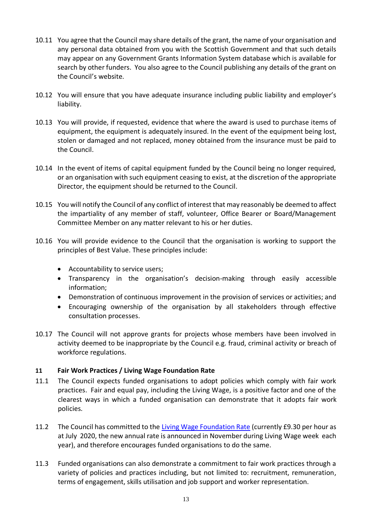- 10.11 You agree that the Council may share details of the grant, the name of your organisation and any personal data obtained from you with the Scottish Government and that such details may appear on any Government Grants Information System database which is available for search by other funders. You also agree to the Council publishing any details of the grant on the Council's website.
- 10.12 You will ensure that you have adequate insurance including public liability and employer's liability.
- 10.13 You will provide, if requested, evidence that where the award is used to purchase items of equipment, the equipment is adequately insured. In the event of the equipment being lost, stolen or damaged and not replaced, money obtained from the insurance must be paid to the Council.
- 10.14 In the event of items of capital equipment funded by the Council being no longer required, or an organisation with such equipment ceasing to exist, at the discretion of the appropriate Director, the equipment should be returned to the Council.
- 10.15 You will notify the Council of any conflict of interest that may reasonably be deemed to affect the impartiality of any member of staff, volunteer, Office Bearer or Board/Management Committee Member on any matter relevant to his or her duties.
- 10.16 You will provide evidence to the Council that the organisation is working to support the principles of Best Value. These principles include:
	- Accountability to service users;
	- Transparency in the organisation's decision-making through easily accessible information;
	- Demonstration of continuous improvement in the provision of services or activities; and
	- Encouraging ownership of the organisation by all stakeholders through effective consultation processes.
- 10.17 The Council will not approve grants for projects whose members have been involved in activity deemed to be inappropriate by the Council e.g. fraud, criminal activity or breach of workforce regulations.

#### **11 Fair Work Practices / Living Wage Foundation Rate**

- 11.1 The Council expects funded organisations to adopt policies which comply with fair work practices. Fair and equal pay, including the Living Wage, is a positive factor and one of the clearest ways in which a funded organisation can demonstrate that it adopts fair work policies.
- 11.2 The Council has committed to the [Living Wage Foundation Rate](https://www.livingwage.org.uk/) (currently £9.30 per hour as at July 2020, the new annual rate is announced in November during Living Wage week each year), and therefore encourages funded organisations to do the same.
- 11.3 Funded organisations can also demonstrate a commitment to fair work practices through a variety of policies and practices including, but not limited to: recruitment, remuneration, terms of engagement, skills utilisation and job support and worker representation.